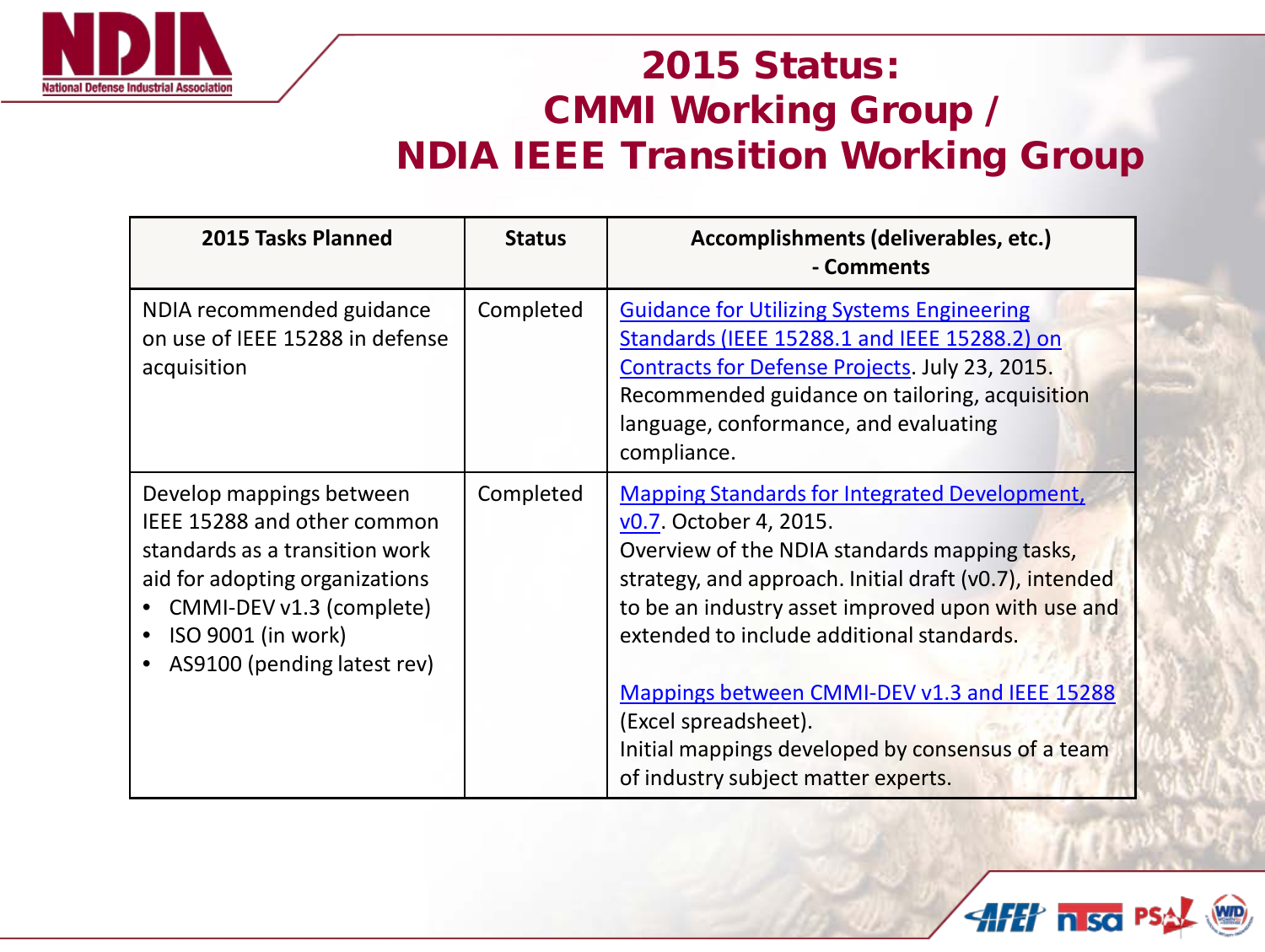

## 2015 Status: CMMI Working Group / NDIA IEEE Transition Working Group

| 2015 Tasks Planned                                                                                                                                                                                           | <b>Status</b> | Accomplishments (deliverables, etc.)<br>- Comments                                                                                                                                                                                                                                                                                                                                                                                                                |
|--------------------------------------------------------------------------------------------------------------------------------------------------------------------------------------------------------------|---------------|-------------------------------------------------------------------------------------------------------------------------------------------------------------------------------------------------------------------------------------------------------------------------------------------------------------------------------------------------------------------------------------------------------------------------------------------------------------------|
| NDIA recommended guidance<br>on use of IEEE 15288 in defense<br>acquisition                                                                                                                                  | Completed     | <b>Guidance for Utilizing Systems Engineering</b><br>Standards (IEEE 15288.1 and IEEE 15288.2) on<br>Contracts for Defense Projects. July 23, 2015.<br>Recommended guidance on tailoring, acquisition<br>language, conformance, and evaluating<br>compliance.                                                                                                                                                                                                     |
| Develop mappings between<br>IEEE 15288 and other common<br>standards as a transition work<br>aid for adopting organizations<br>CMMI-DEV v1.3 (complete)<br>ISO 9001 (in work)<br>AS9100 (pending latest rev) | Completed     | <b>Mapping Standards for Integrated Development,</b><br>v0.7. October 4, 2015.<br>Overview of the NDIA standards mapping tasks,<br>strategy, and approach. Initial draft (v0.7), intended<br>to be an industry asset improved upon with use and<br>extended to include additional standards.<br>Mappings between CMMI-DEV v1.3 and IEEE 15288<br>(Excel spreadsheet).<br>Initial mappings developed by consensus of a team<br>of industry subject matter experts. |

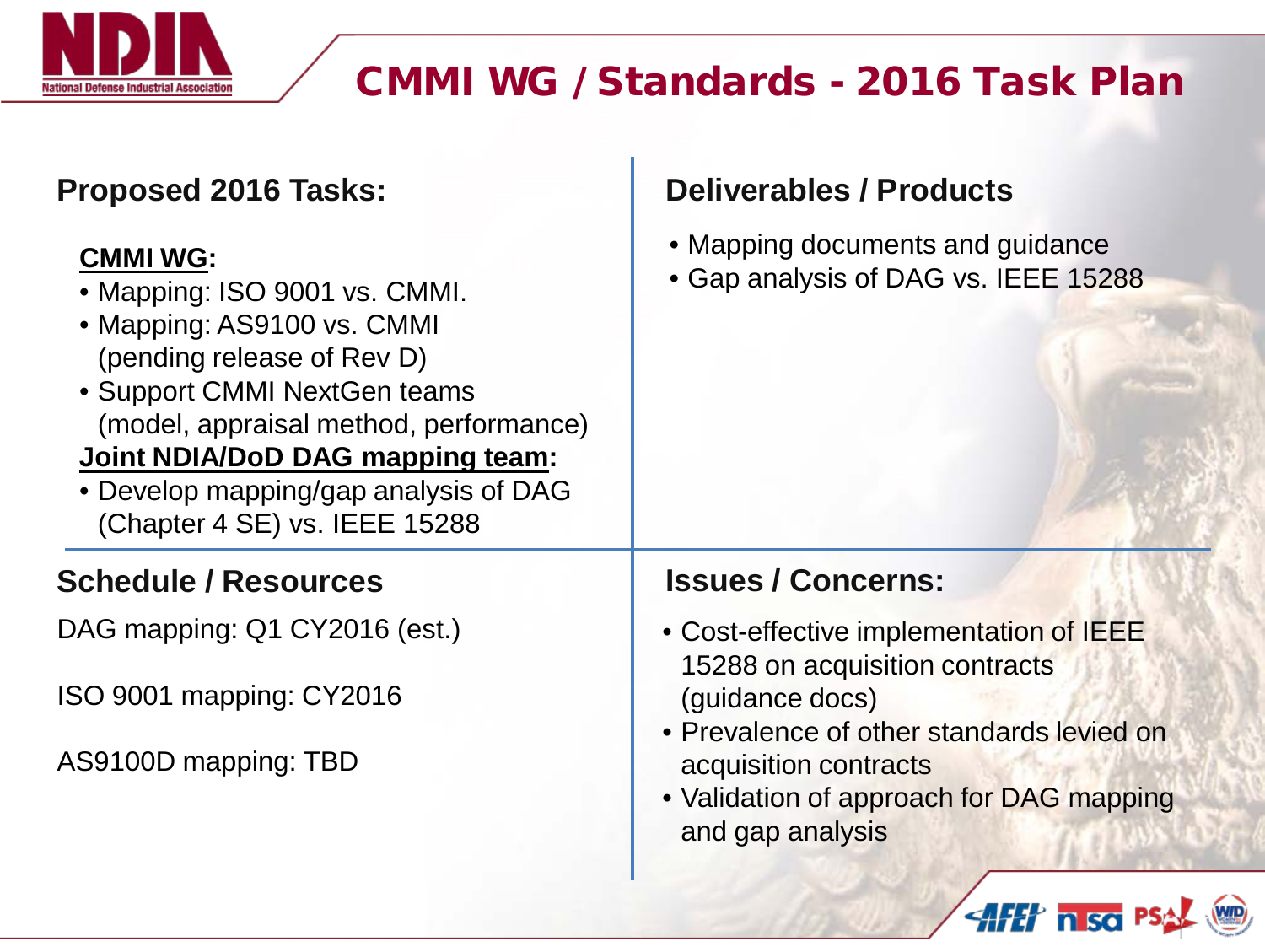

## CMMI WG / Standards - 2016 Task Plan

| <b>Proposed 2016 Tasks:</b>                                                                                                                                                                                                                                                                          | <b>Deliverables / Products</b>                                                                                                     |
|------------------------------------------------------------------------------------------------------------------------------------------------------------------------------------------------------------------------------------------------------------------------------------------------------|------------------------------------------------------------------------------------------------------------------------------------|
| <b>CMMI WG:</b><br>• Mapping: ISO 9001 vs. CMMI.<br>• Mapping: AS9100 vs. CMMI<br>(pending release of Rev D)<br>• Support CMMI NextGen teams<br>(model, appraisal method, performance)<br>Joint NDIA/DoD DAG mapping team:<br>• Develop mapping/gap analysis of DAG<br>(Chapter 4 SE) vs. IEEE 15288 | • Mapping documents and guidance<br>• Gap analysis of DAG vs. IEEE 15288                                                           |
| <b>Schedule / Resources</b>                                                                                                                                                                                                                                                                          | <b>Issues / Concerns:</b>                                                                                                          |
| DAG mapping: Q1 CY2016 (est.)                                                                                                                                                                                                                                                                        | • Cost-effective implementation of IEEE<br>15288 on acquisition contracts                                                          |
| ISO 9001 mapping: CY2016                                                                                                                                                                                                                                                                             | (guidance docs)                                                                                                                    |
| AS9100D mapping: TBD                                                                                                                                                                                                                                                                                 | • Prevalence of other standards levied on<br>acquisition contracts<br>• Validation of approach for DAG mapping<br>and gap analysis |
|                                                                                                                                                                                                                                                                                                      | <b>AFET</b> nisc PS                                                                                                                |